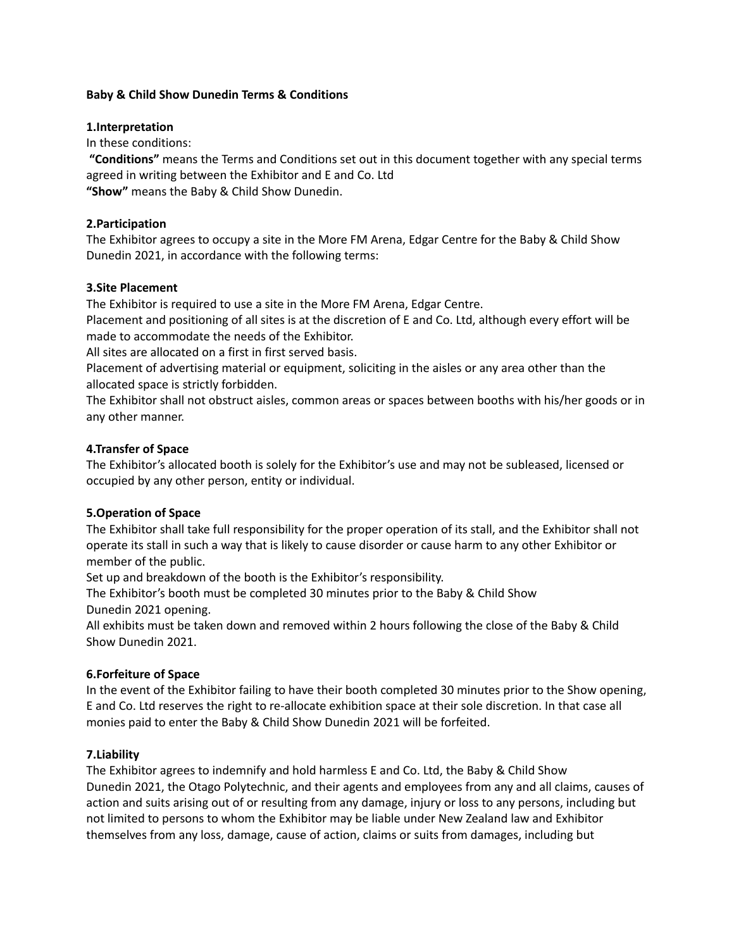#### **Baby & Child Show Dunedin Terms & Conditions**

#### **1.Interpretation**

In these conditions:

**"Conditions"** means the Terms and Conditions set out in this document together with any special terms agreed in writing between the Exhibitor and E and Co. Ltd **"Show"** means the Baby & Child Show Dunedin.

# **2.Participation**

The Exhibitor agrees to occupy a site in the More FM Arena, Edgar Centre for the Baby & Child Show Dunedin 2021, in accordance with the following terms:

#### **3.Site Placement**

The Exhibitor is required to use a site in the More FM Arena, Edgar Centre.

Placement and positioning of all sites is at the discretion of E and Co. Ltd, although every effort will be made to accommodate the needs of the Exhibitor.

All sites are allocated on a first in first served basis.

Placement of advertising material or equipment, soliciting in the aisles or any area other than the allocated space is strictly forbidden.

The Exhibitor shall not obstruct aisles, common areas or spaces between booths with his/her goods or in any other manner.

# **4.Transfer of Space**

The Exhibitor's allocated booth is solely for the Exhibitor's use and may not be subleased, licensed or occupied by any other person, entity or individual.

# **5.Operation of Space**

The Exhibitor shall take full responsibility for the proper operation of its stall, and the Exhibitor shall not operate its stall in such a way that is likely to cause disorder or cause harm to any other Exhibitor or member of the public.

Set up and breakdown of the booth is the Exhibitor's responsibility.

The Exhibitor's booth must be completed 30 minutes prior to the Baby & Child Show Dunedin 2021 opening.

All exhibits must be taken down and removed within 2 hours following the close of the Baby & Child Show Dunedin 2021.

# **6.Forfeiture of Space**

In the event of the Exhibitor failing to have their booth completed 30 minutes prior to the Show opening, E and Co. Ltd reserves the right to re-allocate exhibition space at their sole discretion. In that case all monies paid to enter the Baby & Child Show Dunedin 2021 will be forfeited.

# **7.Liability**

The Exhibitor agrees to indemnify and hold harmless E and Co. Ltd, the Baby & Child Show Dunedin 2021, the Otago Polytechnic, and their agents and employees from any and all claims, causes of action and suits arising out of or resulting from any damage, injury or loss to any persons, including but not limited to persons to whom the Exhibitor may be liable under New Zealand law and Exhibitor themselves from any loss, damage, cause of action, claims or suits from damages, including but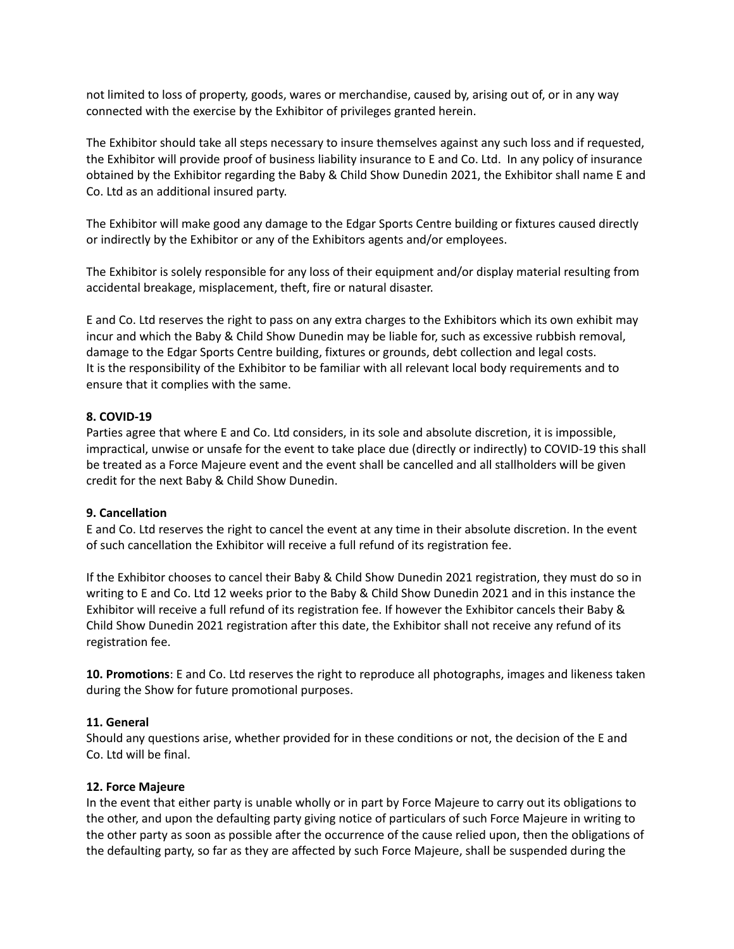not limited to loss of property, goods, wares or merchandise, caused by, arising out of, or in any way connected with the exercise by the Exhibitor of privileges granted herein.

The Exhibitor should take all steps necessary to insure themselves against any such loss and if requested, the Exhibitor will provide proof of business liability insurance to E and Co. Ltd. In any policy of insurance obtained by the Exhibitor regarding the Baby & Child Show Dunedin 2021, the Exhibitor shall name E and Co. Ltd as an additional insured party.

The Exhibitor will make good any damage to the Edgar Sports Centre building or fixtures caused directly or indirectly by the Exhibitor or any of the Exhibitors agents and/or employees.

The Exhibitor is solely responsible for any loss of their equipment and/or display material resulting from accidental breakage, misplacement, theft, fire or natural disaster.

E and Co. Ltd reserves the right to pass on any extra charges to the Exhibitors which its own exhibit may incur and which the Baby & Child Show Dunedin may be liable for, such as excessive rubbish removal, damage to the Edgar Sports Centre building, fixtures or grounds, debt collection and legal costs. It is the responsibility of the Exhibitor to be familiar with all relevant local body requirements and to ensure that it complies with the same.

# **8. COVID-19**

Parties agree that where E and Co. Ltd considers, in its sole and absolute discretion, it is impossible, impractical, unwise or unsafe for the event to take place due (directly or indirectly) to COVID-19 this shall be treated as a Force Majeure event and the event shall be cancelled and all stallholders will be given credit for the next Baby & Child Show Dunedin.

# **9. Cancellation**

E and Co. Ltd reserves the right to cancel the event at any time in their absolute discretion. In the event of such cancellation the Exhibitor will receive a full refund of its registration fee.

If the Exhibitor chooses to cancel their Baby & Child Show Dunedin 2021 registration, they must do so in writing to E and Co. Ltd 12 weeks prior to the Baby & Child Show Dunedin 2021 and in this instance the Exhibitor will receive a full refund of its registration fee. If however the Exhibitor cancels their Baby & Child Show Dunedin 2021 registration after this date, the Exhibitor shall not receive any refund of its registration fee.

**10. Promotions**: E and Co. Ltd reserves the right to reproduce all photographs, images and likeness taken during the Show for future promotional purposes.

# **11. General**

Should any questions arise, whether provided for in these conditions or not, the decision of the E and Co. Ltd will be final.

#### **12. Force Majeure**

In the event that either party is unable wholly or in part by Force Majeure to carry out its obligations to the other, and upon the defaulting party giving notice of particulars of such Force Majeure in writing to the other party as soon as possible after the occurrence of the cause relied upon, then the obligations of the defaulting party, so far as they are affected by such Force Majeure, shall be suspended during the